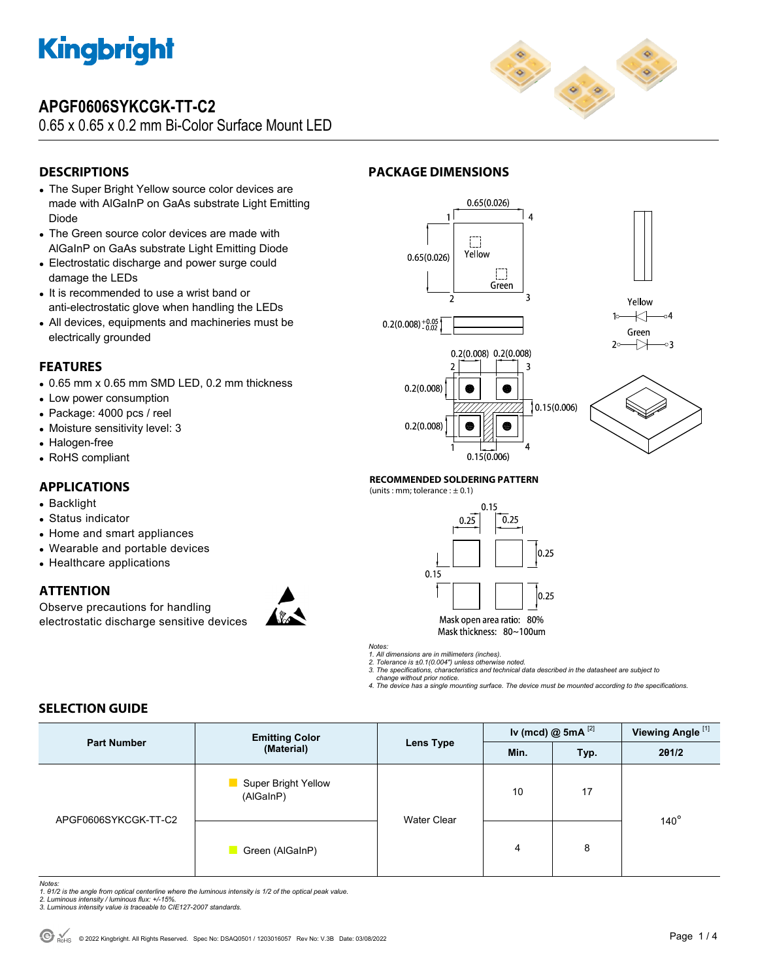

## **APGF0606SYKCGK-TT-C2**

0.65 x 0.65 x 0.2 mm Bi-Color Surface Mount LED



## **DESCRIPTIONS**

- The Super Bright Yellow source color devices are made with AlGaInP on GaAs substrate Light Emitting Diode
- The Green source color devices are made with AlGaInP on GaAs substrate Light Emitting Diode
- Electrostatic discharge and power surge could damage the LEDs
- It is recommended to use a wrist band or anti-electrostatic glove when handling the LEDs
- All devices, equipments and machineries must be electrically grounded

### **FEATURES**

- 0.65 mm x 0.65 mm SMD LED, 0.2 mm thickness
- Low power consumption
- Package: 4000 pcs / reel
- Moisture sensitivity level: 3
- Halogen-free
- RoHS compliant

### **APPLICATIONS**

- Backlight
- Status indicator
- Home and smart appliances
- Wearable and portable devices
- Healthcare applications

### **ATTENTION**

Observe precautions for handling electrostatic discharge sensitive devices



### **PACKAGE DIMENSIONS**







### **RECOMMENDED SOLDERING PATTERN**  (units : mm; tolerance :  $\pm$  0.1)



*Notes:* 

*1. All dimensions are in millimeters (inches). 2. Tolerance is ±0.1(0.004") unless otherwise noted.* 

*3. The specifications, characteristics and technical data described in the datasheet are subject to change without prior notice.* 

*4. The device has a single mounting surface. The device must be mounted according to the specifications.* 

### **SELECTION GUIDE**

|                      | <b>Emitting Color</b><br>(Material)          | Lens Type   | Iv (mcd) $@$ 5mA $^{[2]}$ |      | Viewing Angle <sup>[1]</sup> |
|----------------------|----------------------------------------------|-------------|---------------------------|------|------------------------------|
| <b>Part Number</b>   |                                              |             | Min.                      | Typ. | 201/2                        |
| APGF0606SYKCGK-TT-C2 | <b>Super Bright Yellow</b><br>٠<br>(AlGaInP) | Water Clear | 10                        | 17   | $140^\circ$                  |
|                      | Green (AlGaInP)<br><b>The Co</b>             |             | 4                         | 8    |                              |

*Notes:* 

*1. θ1/2 is the angle from optical centerline where the luminous intensity is 1/2 of the optical peak value. 2. Luminous intensity / luminous flux: +/-15%.* 

*3. Luminous intensity value is traceable to CIE127-2007 standards.*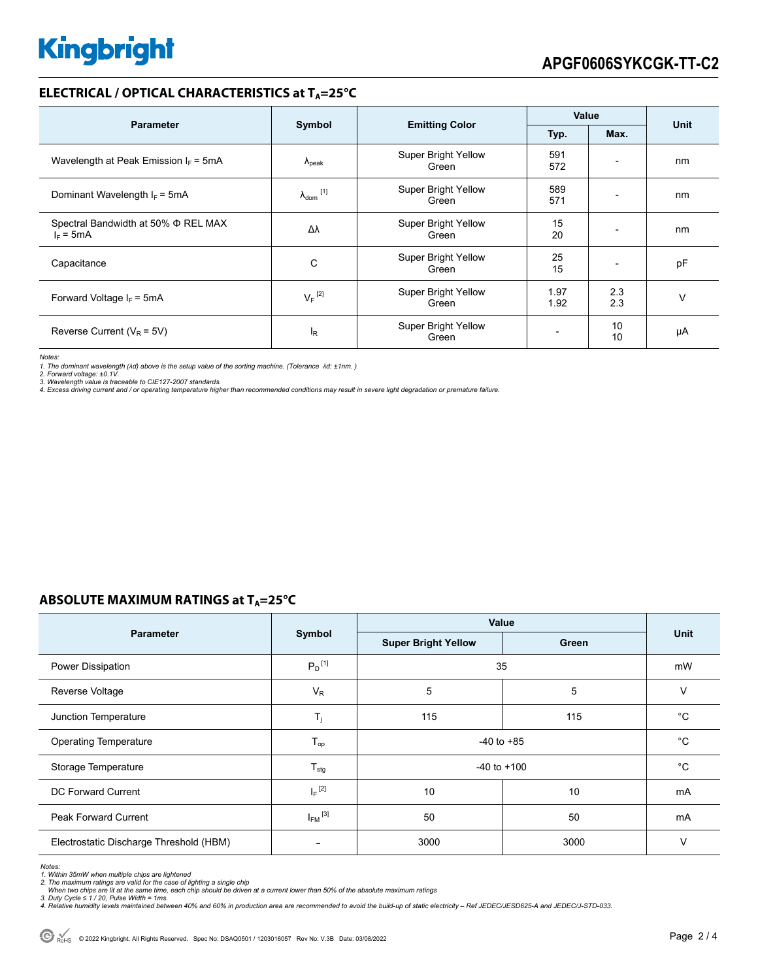### **ELECTRICAL / OPTICAL CHARACTERISTICS at T<sub>A</sub>=25°C**

| <b>Parameter</b>                                   | Symbol                     |                                     | <b>Value</b> |                          |      |
|----------------------------------------------------|----------------------------|-------------------------------------|--------------|--------------------------|------|
|                                                    |                            | <b>Emitting Color</b>               | Typ.         | Max.                     | Unit |
| Wavelength at Peak Emission $I_F = 5mA$            | $\Lambda_{\rm peak}$       | Super Bright Yellow<br>Green        | 591<br>572   | $\overline{\phantom{a}}$ | nm   |
| Dominant Wavelength $I_F$ = 5mA                    | $\lambda_{\text{dom}}$ [1] | <b>Super Bright Yellow</b><br>Green | 589<br>571   |                          | nm   |
| Spectral Bandwidth at 50% Φ REL MAX<br>$I_F = 5mA$ | Δλ                         | <b>Super Bright Yellow</b><br>Green | 15<br>20     |                          | nm   |
| Capacitance                                        | C                          | Super Bright Yellow<br>Green        | 25<br>15     |                          | pF   |
| Forward Voltage $I_F = 5mA$                        | $V_F$ <sup>[2]</sup>       | Super Bright Yellow<br>Green        | 1.97<br>1.92 | 2.3<br>2.3               | v    |
| Reverse Current ( $V_R$ = 5V)                      | l <sub>R</sub>             | Super Bright Yellow<br>Green        |              | 10<br>10                 | μA   |

*Notes:* 

1. The dominant wavelength (λd) above is the setup value of the sorting machine. (Tolerance λd: ±1nm. )<br>2. Forward voltage: ±0.1V.<br>3. Wavelength value is traceable to CIE127-2007 standards.

*4. Excess driving current and / or operating temperature higher than recommended conditions may result in severe light degradation or premature failure.* 

## **ABSOLUTE MAXIMUM RATINGS at T<sub>A</sub>=25°C**

|                                         | Symbol                  | Value                      |       |      |
|-----------------------------------------|-------------------------|----------------------------|-------|------|
| <b>Parameter</b>                        |                         | <b>Super Bright Yellow</b> | Green | Unit |
| Power Dissipation                       | $P_D$ <sup>[1]</sup>    | 35                         |       | mW   |
| Reverse Voltage                         | $V_R$                   | 5                          | 5     | V    |
| Junction Temperature                    | $T_i$                   | 115                        | 115   | °C   |
| <b>Operating Temperature</b>            | $T_{op}$                | $-40$ to $+85$             |       | °C   |
| Storage Temperature                     | $T_{\text{stg}}$        | $-40$ to $+100$            |       | °C   |
| DC Forward Current                      | $I_F$ <sup>[2]</sup>    | 10                         | 10    | mA   |
| <b>Peak Forward Current</b>             | $I_{FM}$ <sup>[3]</sup> | 50                         | 50    | mA   |
| Electrostatic Discharge Threshold (HBM) |                         | 3000                       | 3000  | V    |

*Notes:* 

*1. Within 35mW when multiple chips are lightened 2. The maximum ratings are valid for the case of lighting a single chip* 

When two chips are lit at the same time, each chip should be driven at a current lower than 50% of the absolute maximum ratings<br>3. Duty Cycle ≤ 1 / 20, Pulse Width = 1ms.<br>4. Relative humidity levels maintained between 40%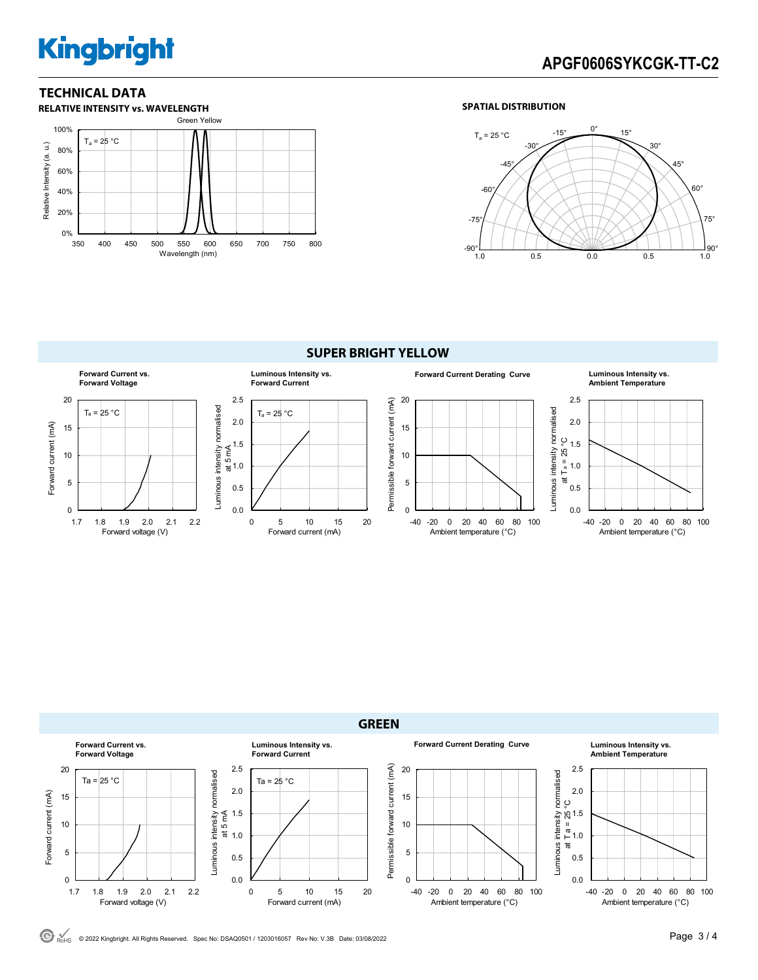# **Kingbright**

## **TECHNICAL DATA**



### **SPATIAL DISTRIBUTION**









**Luminous Intensity vs.**